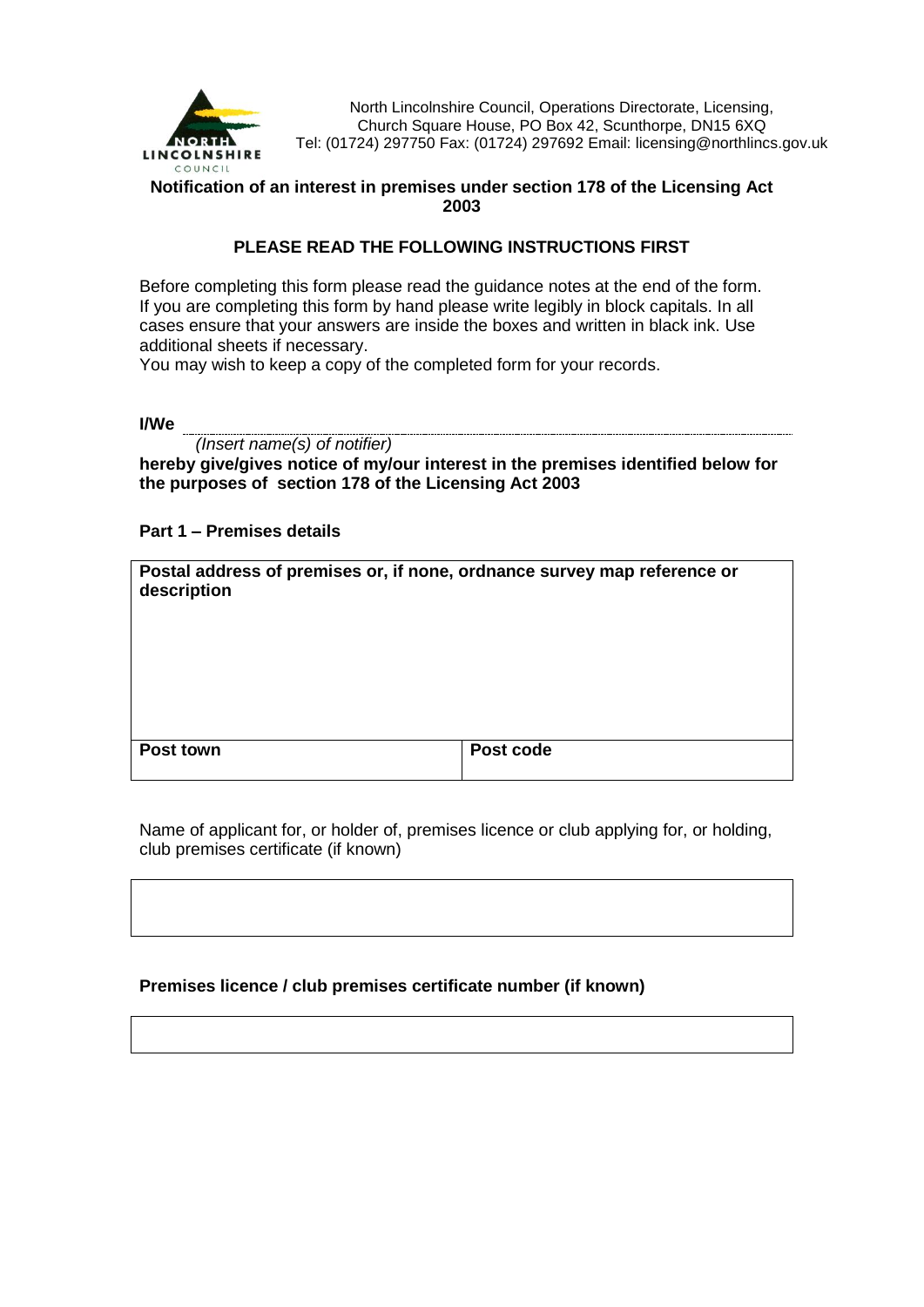

North Lincolnshire Council, Operations Directorate, Licensing, Church Square House, PO Box 42, Scunthorpe, DN15 6XQ Tel: (01724) 297750 Fax: (01724) 297692 Email: licensing@northlincs.gov.uk

# **Notification of an interest in premises under section 178 of the Licensing Act 2003**

# **PLEASE READ THE FOLLOWING INSTRUCTIONS FIRST**

Before completing this form please read the guidance notes at the end of the form. If you are completing this form by hand please write legibly in block capitals. In all cases ensure that your answers are inside the boxes and written in black ink. Use additional sheets if necessary.

You may wish to keep a copy of the completed form for your records.

**I/We** 

*(Insert name(s) of notifier)*

**hereby give/gives notice of my/our interest in the premises identified below for the purposes of section 178 of the Licensing Act 2003**

### **Part 1 – Premises details**

| Postal address of premises or, if none, ordnance survey map reference or<br>description |           |
|-----------------------------------------------------------------------------------------|-----------|
| Post town                                                                               | Post code |

Name of applicant for, or holder of, premises licence or club applying for, or holding, club premises certificate (if known)

#### **Premises licence / club premises certificate number (if known)**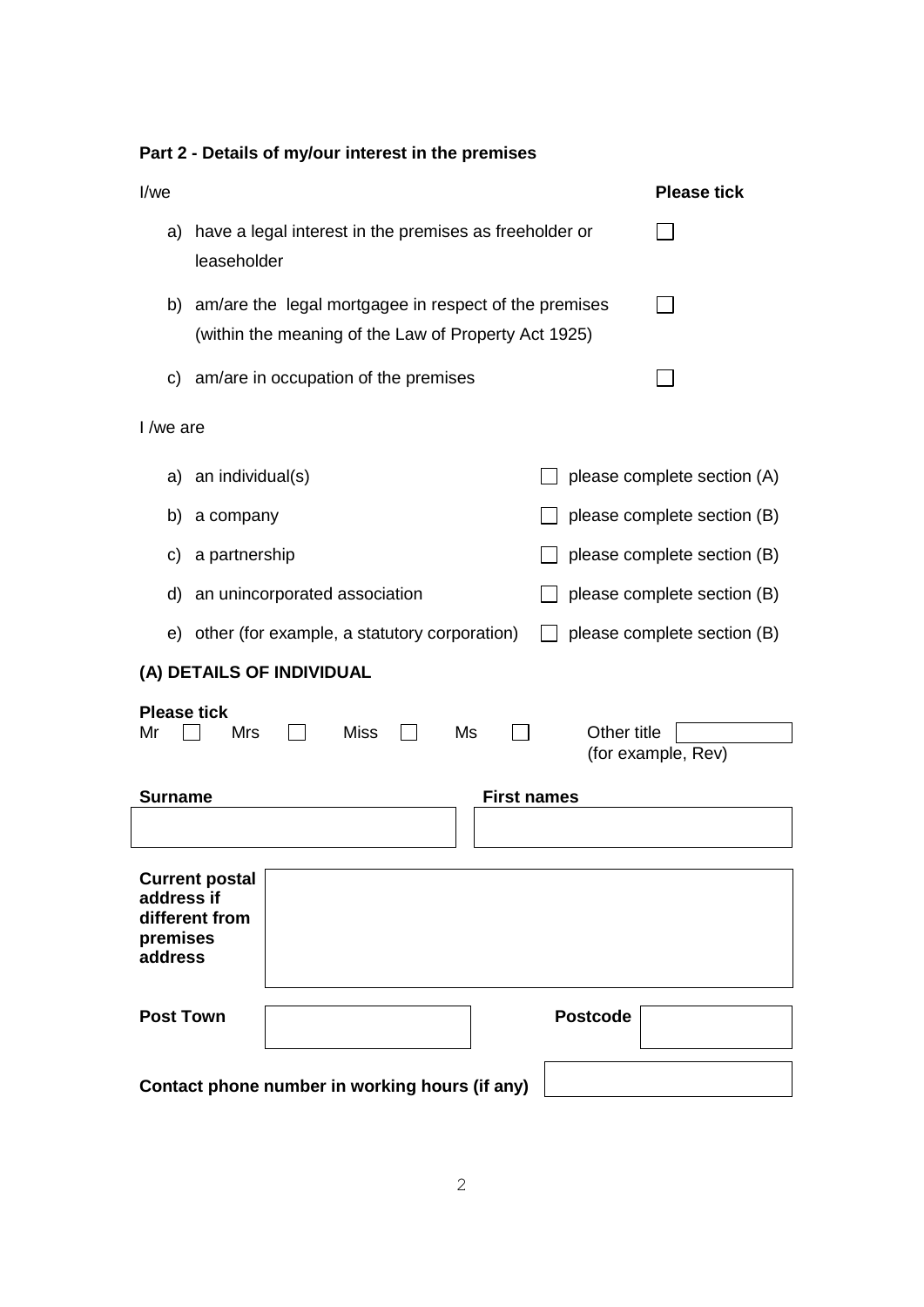| I/we                                                                         | <b>Please tick</b>                                                                                               |  |  |  |  |
|------------------------------------------------------------------------------|------------------------------------------------------------------------------------------------------------------|--|--|--|--|
| a) have a legal interest in the premises as freeholder or<br>leaseholder     |                                                                                                                  |  |  |  |  |
|                                                                              | b) am/are the legal mortgagee in respect of the premises<br>(within the meaning of the Law of Property Act 1925) |  |  |  |  |
| c) am/are in occupation of the premises                                      |                                                                                                                  |  |  |  |  |
| I /we are                                                                    |                                                                                                                  |  |  |  |  |
| a) an individual(s)                                                          | please complete section (A)                                                                                      |  |  |  |  |
| a company<br>b)                                                              | please complete section (B)                                                                                      |  |  |  |  |
| a partnership<br>C)                                                          | please complete section (B)                                                                                      |  |  |  |  |
| d) an unincorporated association                                             | please complete section (B)                                                                                      |  |  |  |  |
| e) other (for example, a statutory corporation)                              | please complete section (B)                                                                                      |  |  |  |  |
| (A) DETAILS OF INDIVIDUAL                                                    |                                                                                                                  |  |  |  |  |
| <b>Please tick</b><br><b>Mrs</b><br>Miss<br>Ms<br>Mr                         | Other title<br>(for example, Rev)                                                                                |  |  |  |  |
| <b>Surname</b>                                                               | <b>First names</b>                                                                                               |  |  |  |  |
|                                                                              |                                                                                                                  |  |  |  |  |
| <b>Current postal</b><br>address if<br>different from<br>premises<br>address |                                                                                                                  |  |  |  |  |
| <b>Post Town</b>                                                             | <b>Postcode</b>                                                                                                  |  |  |  |  |
| Contact phone number in working hours (if any)                               |                                                                                                                  |  |  |  |  |

# **Part 2 - Details of my/our interest in the premises**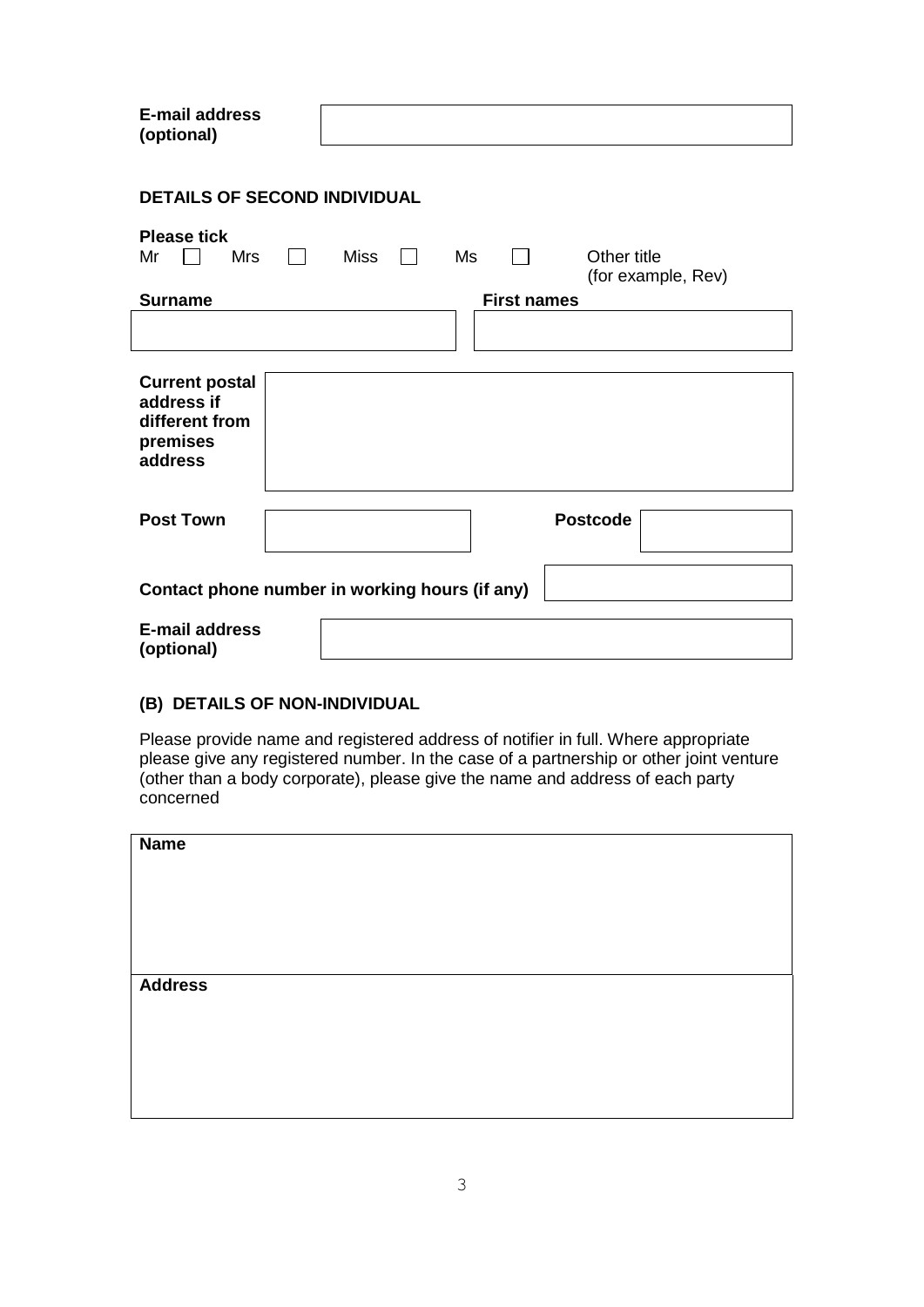| <b>E-mail address</b><br>(optional)                                          |                                         |  |  |  |
|------------------------------------------------------------------------------|-----------------------------------------|--|--|--|
| <b>DETAILS OF SECOND INDIVIDUAL</b>                                          |                                         |  |  |  |
| <b>Please tick</b><br><b>Mrs</b><br><b>Miss</b><br>Mr                        | Other title<br>Ms<br>(for example, Rev) |  |  |  |
| <b>Surname</b>                                                               | <b>First names</b>                      |  |  |  |
|                                                                              |                                         |  |  |  |
| <b>Current postal</b><br>address if<br>different from<br>premises<br>address |                                         |  |  |  |
| <b>Post Town</b>                                                             | <b>Postcode</b>                         |  |  |  |
| Contact phone number in working hours (if any)                               |                                         |  |  |  |
| <b>E-mail address</b><br>(optional)                                          |                                         |  |  |  |

#### **(B) DETAILS OF NON-INDIVIDUAL**

Please provide name and registered address of notifier in full. Where appropriate please give any registered number. In the case of a partnership or other joint venture (other than a body corporate), please give the name and address of each party concerned

| <b>Name</b>    |  |  |
|----------------|--|--|
|                |  |  |
|                |  |  |
|                |  |  |
|                |  |  |
| <b>Address</b> |  |  |
|                |  |  |
|                |  |  |
|                |  |  |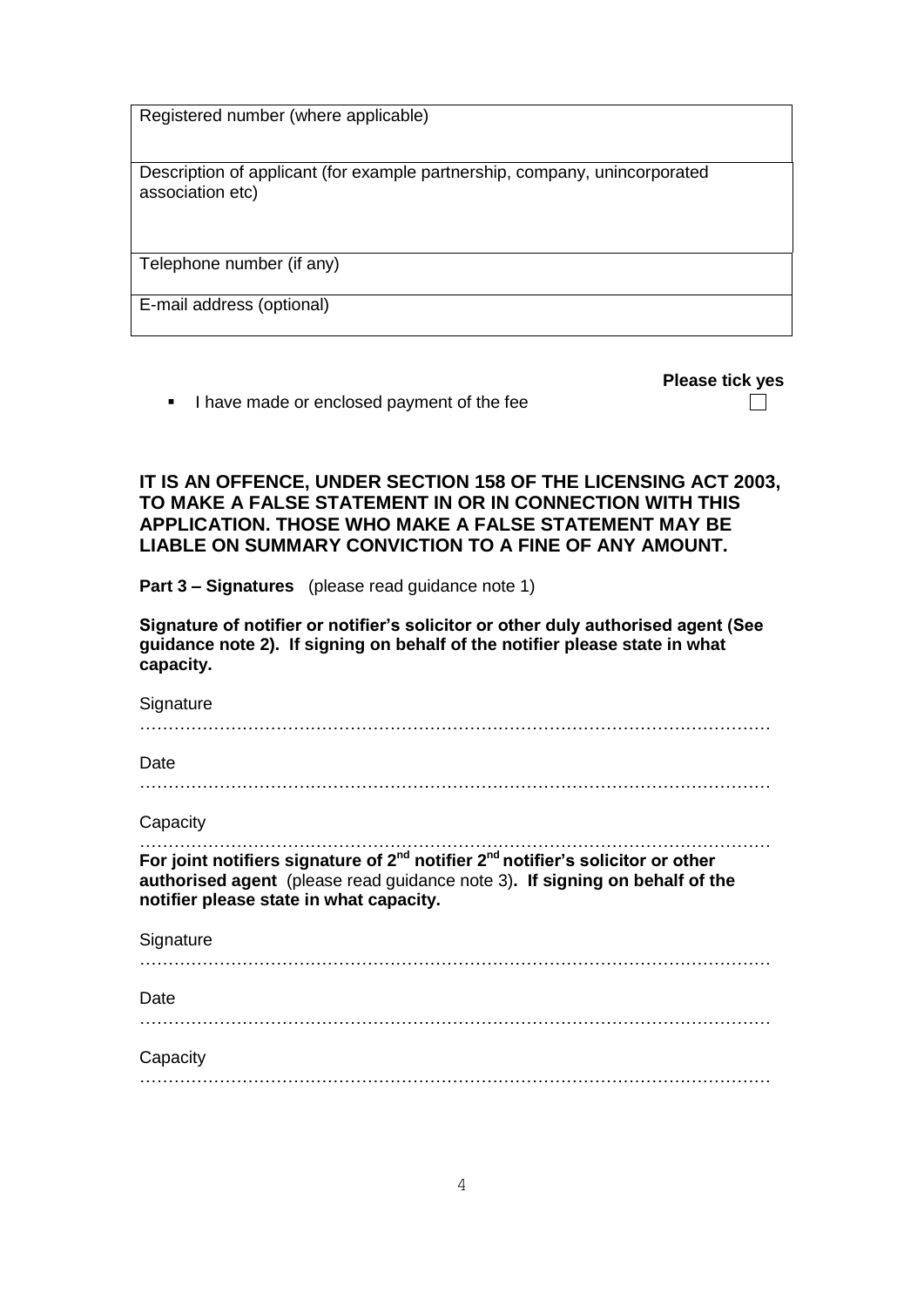Registered number (where applicable)

Description of applicant (for example partnership, company, unincorporated association etc)

Telephone number (if any)

E-mail address (optional)

**Please tick yes**

 $\Box$ 

I have made or enclosed payment of the fee

**IT IS AN OFFENCE, UNDER SECTION 158 OF THE LICENSING ACT 2003, TO MAKE A FALSE STATEMENT IN OR IN CONNECTION WITH THIS APPLICATION. THOSE WHO MAKE A FALSE STATEMENT MAY BE LIABLE ON SUMMARY CONVICTION TO A FINE OF ANY AMOUNT.**

**Part 3 – Signatures** (please read guidance note 1)

**Signature of notifier or notifier's solicitor or other duly authorised agent (See guidance note 2). If signing on behalf of the notifier please state in what capacity.**

**Signature** 

…………………………………………………………………………………………………

Date

…………………………………………………………………………………………………

**Capacity** 

………………………………………………………………………………………………… **For joint notifiers signature of 2nd notifier 2nd notifier's solicitor or other authorised agent** (please read guidance note 3)**. If signing on behalf of the notifier please state in what capacity.**

**Signature** 

**Date** 

…………………………………………………………………………………………………

…………………………………………………………………………………………………

**Capacity** 

…………………………………………………………………………………………………